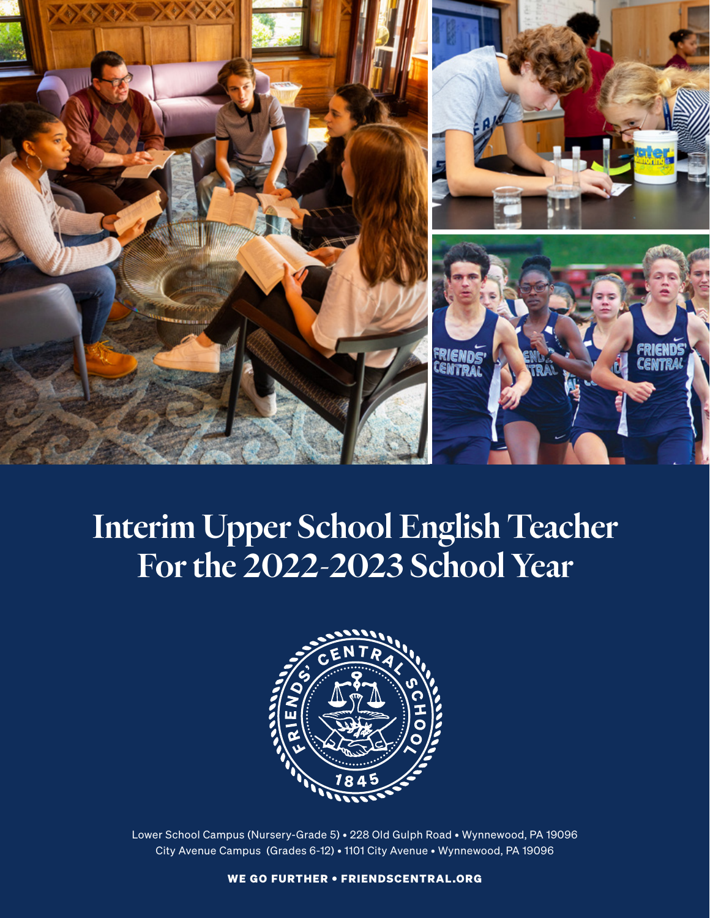

# Interim Upper School English Teacher For the 2022-2023 School Year



Lower School Campus (Nursery-Grade 5) • 228 Old Gulph Road • Wynnewood, PA 19096 City Avenue Campus (Grades 6-12) • 1101 City Avenue • Wynnewood, PA 19096

WE GO FURTHER • FRIENDSCENTRAL.ORG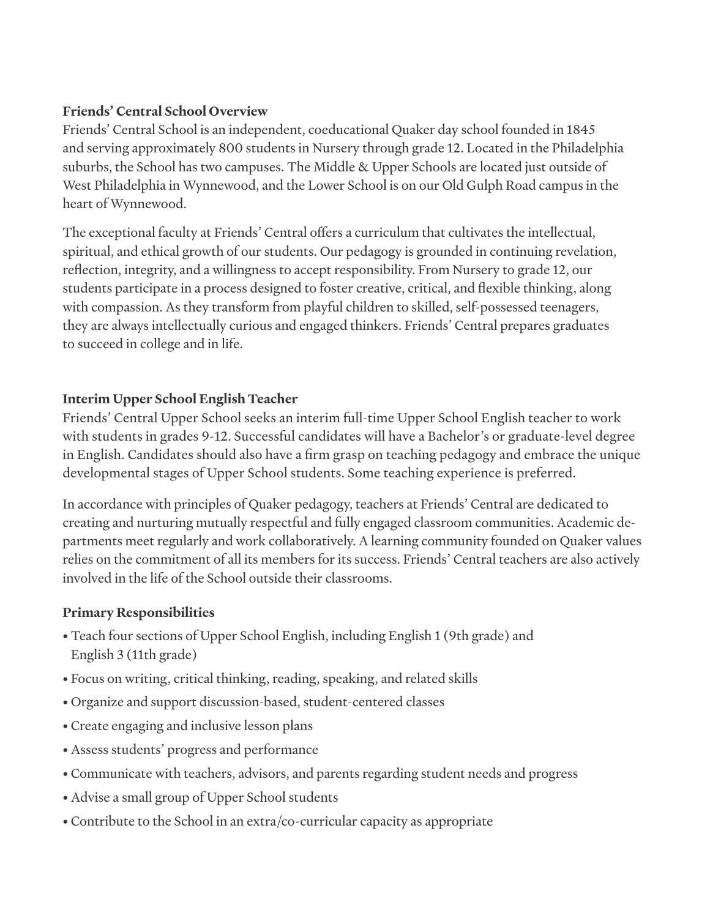#### **Friends' Central School Overview**

Friends' Central School is an independent, coeducational Quaker day school founded in 1845 and serving approximately 800 students in Nursery through grade 12. Located in the Philadelphia suburbs, the School has two campuses. The Middle & Upper Schools are located just outside of West Philadelphia in Wynnewood, and the Lower School is on our Old Gulph Road campus in the heart of Wynnewood.

The exceptional faculty at Friends' Central offers a curriculum that cultivates the intellectual, spiritual, and ethical growth of our students. Our pedagogy is grounded in continuing revelation, reflection, integrity, and a willingness to accept responsibility. From Nursery to grade 12, our students participate in a process designed to foster creative, critical, and flexible thinking, along with compassion. As they transform from playful children to skilled, self-possessed teenagers, they are always intellectually curious and engaged thinkers. Friends' Central prepares graduates to succeed in college and in life.

## **Interim Upper School English Teacher**

Friends' Central Upper School seeks an interim full-time Upper School English teacher to work with students in grades 9-12. Successful candidates will have a Bachelor's or graduate-level degree in English. Candidates should also have a firm grasp on teaching pedagogy and embrace the unique developmental stages of Upper School students. Some teaching experience is preferred.

In accordance with principles of Quaker pedagogy, teachers at Friends' Central are dedicated to creating and nurturing mutually respectful and fully engaged classroom communities. Academic departments meet regularly and work collaboratively. A learning community founded on Quaker values relies on the commitment of all its members for its success. Friends' Central teachers are also actively involved in the life of the School outside their classrooms.

## **Primary Responsibilities**

- Teach four sections of Upper School English, including English 1 (9th grade) and English 3 (11th grade)
- Focus on writing, critical thinking, reading, speaking, and related skills
- Organize and support discussion-based, student-centered classes
- Create engaging and inclusive lesson plans
- Assess students' progress and performance
- Communicate with teachers, advisors, and parents regarding student needs and progress
- Advise a small group of Upper School students
- Contribute to the School in an extra/co-curricular capacity as appropriate